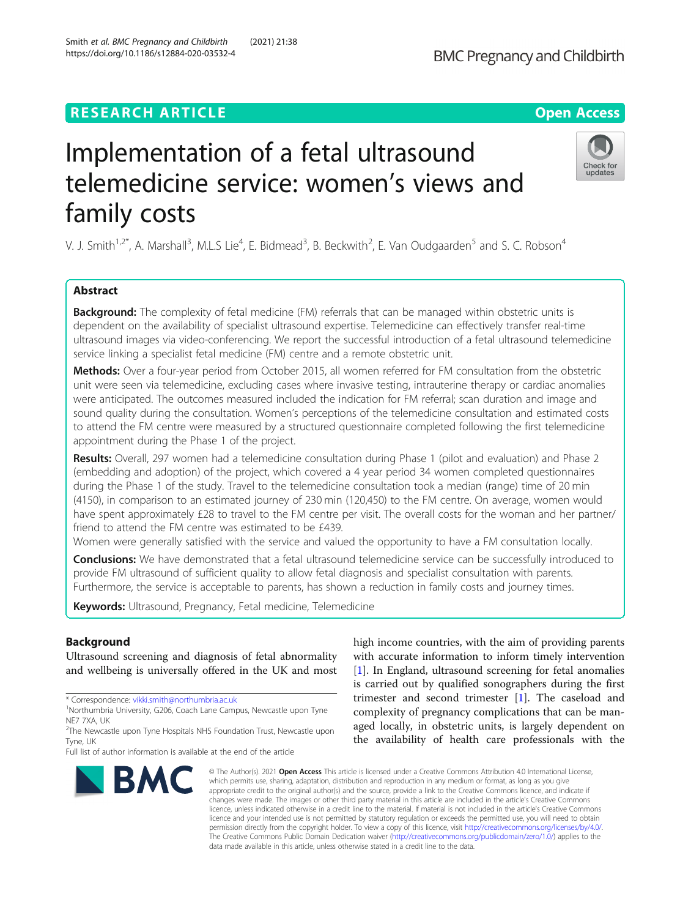# **RESEARCH ARTICLE Example 2014 12:30 The Contract of Contract ACCESS**

# Implementation of a fetal ultrasound telemedicine service: women's views and family costs

V. J. Smith<sup>1,2\*</sup>, A. Marshall<sup>3</sup>, M.L.S Lie<sup>4</sup>, E. Bidmead<sup>3</sup>, B. Beckwith<sup>2</sup>, E. Van Oudgaarden<sup>5</sup> and S. C. Robson<sup>4</sup>

## Abstract

**Background:** The complexity of fetal medicine (FM) referrals that can be managed within obstetric units is dependent on the availability of specialist ultrasound expertise. Telemedicine can effectively transfer real-time ultrasound images via video-conferencing. We report the successful introduction of a fetal ultrasound telemedicine service linking a specialist fetal medicine (FM) centre and a remote obstetric unit.

Methods: Over a four-year period from October 2015, all women referred for FM consultation from the obstetric unit were seen via telemedicine, excluding cases where invasive testing, intrauterine therapy or cardiac anomalies were anticipated. The outcomes measured included the indication for FM referral; scan duration and image and sound quality during the consultation. Women's perceptions of the telemedicine consultation and estimated costs to attend the FM centre were measured by a structured questionnaire completed following the first telemedicine appointment during the Phase 1 of the project.

Results: Overall, 297 women had a telemedicine consultation during Phase 1 (pilot and evaluation) and Phase 2 (embedding and adoption) of the project, which covered a 4 year period 34 women completed questionnaires during the Phase 1 of the study. Travel to the telemedicine consultation took a median (range) time of 20 min (4150), in comparison to an estimated journey of 230 min (120,450) to the FM centre. On average, women would have spent approximately £28 to travel to the FM centre per visit. The overall costs for the woman and her partner/ friend to attend the FM centre was estimated to be £439.

Women were generally satisfied with the service and valued the opportunity to have a FM consultation locally.

**Conclusions:** We have demonstrated that a fetal ultrasound telemedicine service can be successfully introduced to provide FM ultrasound of sufficient quality to allow fetal diagnosis and specialist consultation with parents. Furthermore, the service is acceptable to parents, has shown a reduction in family costs and journey times.

data made available in this article, unless otherwise stated in a credit line to the data.

Keywords: Ultrasound, Pregnancy, Fetal medicine, Telemedicine

### Background

Ultrasound screening and diagnosis of fetal abnormality and wellbeing is universally offered in the UK and most

\* Correspondence: [vikki.smith@northumbria.ac.uk](mailto:vikki.smith@northumbria.ac.uk) <sup>1</sup>



high income countries, with the aim of providing parents with accurate information to inform timely intervention [[1\]](#page-6-0). In England, ultrasound screening for fetal anomalies is carried out by qualified sonographers during the first trimester and second trimester [[1\]](#page-6-0). The caseload and complexity of pregnancy complications that can be managed locally, in obstetric units, is largely dependent on the availability of health care professionals with the





<sup>&</sup>lt;sup>1</sup>Northumbria University, G206, Coach Lane Campus, Newcastle upon Tyne NE7 7XA, UK

<sup>&</sup>lt;sup>2</sup>The Newcastle upon Tyne Hospitals NHS Foundation Trust, Newcastle upon Tyne, UK

Full list of author information is available at the end of the article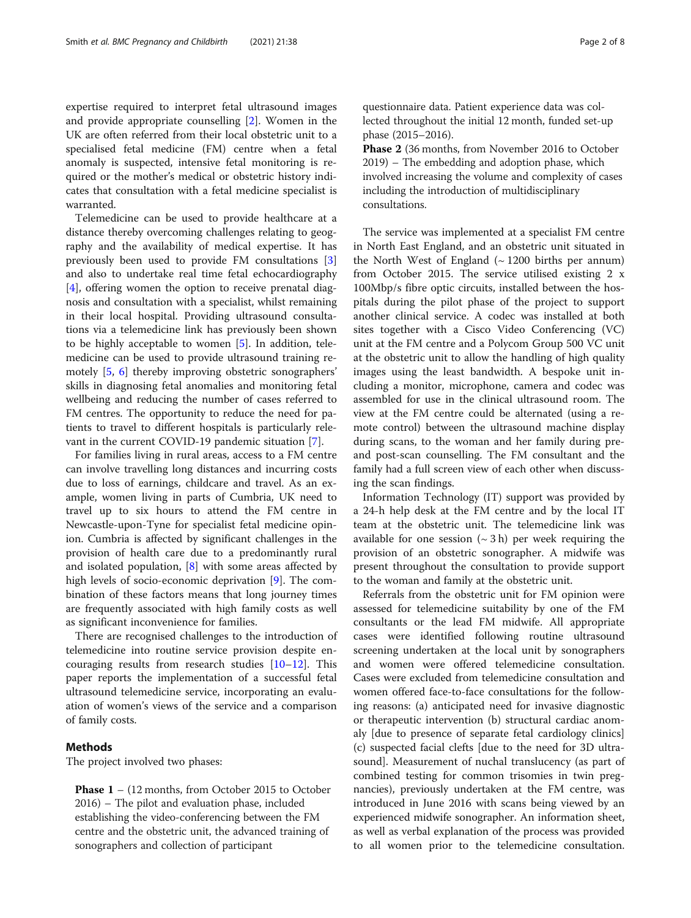expertise required to interpret fetal ultrasound images and provide appropriate counselling [[2\]](#page-6-0). Women in the UK are often referred from their local obstetric unit to a specialised fetal medicine (FM) centre when a fetal anomaly is suspected, intensive fetal monitoring is required or the mother's medical or obstetric history indicates that consultation with a fetal medicine specialist is warranted.

Telemedicine can be used to provide healthcare at a distance thereby overcoming challenges relating to geography and the availability of medical expertise. It has previously been used to provide FM consultations [\[3](#page-6-0)] and also to undertake real time fetal echocardiography [[4\]](#page-6-0), offering women the option to receive prenatal diagnosis and consultation with a specialist, whilst remaining in their local hospital. Providing ultrasound consultations via a telemedicine link has previously been shown to be highly acceptable to women [\[5](#page-6-0)]. In addition, telemedicine can be used to provide ultrasound training remotely [[5](#page-6-0), [6](#page-6-0)] thereby improving obstetric sonographers' skills in diagnosing fetal anomalies and monitoring fetal wellbeing and reducing the number of cases referred to FM centres. The opportunity to reduce the need for patients to travel to different hospitals is particularly relevant in the current COVID-19 pandemic situation [[7\]](#page-6-0).

For families living in rural areas, access to a FM centre can involve travelling long distances and incurring costs due to loss of earnings, childcare and travel. As an example, women living in parts of Cumbria, UK need to travel up to six hours to attend the FM centre in Newcastle-upon-Tyne for specialist fetal medicine opinion. Cumbria is affected by significant challenges in the provision of health care due to a predominantly rural and isolated population, [\[8](#page-7-0)] with some areas affected by high levels of socio-economic deprivation [[9\]](#page-7-0). The combination of these factors means that long journey times are frequently associated with high family costs as well as significant inconvenience for families.

There are recognised challenges to the introduction of telemedicine into routine service provision despite encouraging results from research studies [\[10](#page-7-0)–[12\]](#page-7-0). This paper reports the implementation of a successful fetal ultrasound telemedicine service, incorporating an evaluation of women's views of the service and a comparison of family costs.

#### Methods

The project involved two phases:

Phase  $1 - (12 \text{ months}, \text{from October 2015 to October})$ 2016) – The pilot and evaluation phase, included establishing the video-conferencing between the FM centre and the obstetric unit, the advanced training of sonographers and collection of participant

questionnaire data. Patient experience data was collected throughout the initial 12 month, funded set-up phase (2015–2016).

Phase 2 (36 months, from November 2016 to October 2019) – The embedding and adoption phase, which involved increasing the volume and complexity of cases including the introduction of multidisciplinary consultations.

The service was implemented at a specialist FM centre in North East England, and an obstetric unit situated in the North West of England  $(~1200)$  births per annum) from October 2015. The service utilised existing 2 x 100Mbp/s fibre optic circuits, installed between the hospitals during the pilot phase of the project to support another clinical service. A codec was installed at both sites together with a Cisco Video Conferencing (VC) unit at the FM centre and a Polycom Group 500 VC unit at the obstetric unit to allow the handling of high quality images using the least bandwidth. A bespoke unit including a monitor, microphone, camera and codec was assembled for use in the clinical ultrasound room. The view at the FM centre could be alternated (using a remote control) between the ultrasound machine display during scans, to the woman and her family during preand post-scan counselling. The FM consultant and the family had a full screen view of each other when discussing the scan findings.

Information Technology (IT) support was provided by a 24-h help desk at the FM centre and by the local IT team at the obstetric unit. The telemedicine link was available for one session  $({\sim} 3h)$  per week requiring the provision of an obstetric sonographer. A midwife was present throughout the consultation to provide support to the woman and family at the obstetric unit.

Referrals from the obstetric unit for FM opinion were assessed for telemedicine suitability by one of the FM consultants or the lead FM midwife. All appropriate cases were identified following routine ultrasound screening undertaken at the local unit by sonographers and women were offered telemedicine consultation. Cases were excluded from telemedicine consultation and women offered face-to-face consultations for the following reasons: (a) anticipated need for invasive diagnostic or therapeutic intervention (b) structural cardiac anomaly [due to presence of separate fetal cardiology clinics] (c) suspected facial clefts [due to the need for 3D ultrasound]. Measurement of nuchal translucency (as part of combined testing for common trisomies in twin pregnancies), previously undertaken at the FM centre, was introduced in June 2016 with scans being viewed by an experienced midwife sonographer. An information sheet, as well as verbal explanation of the process was provided to all women prior to the telemedicine consultation.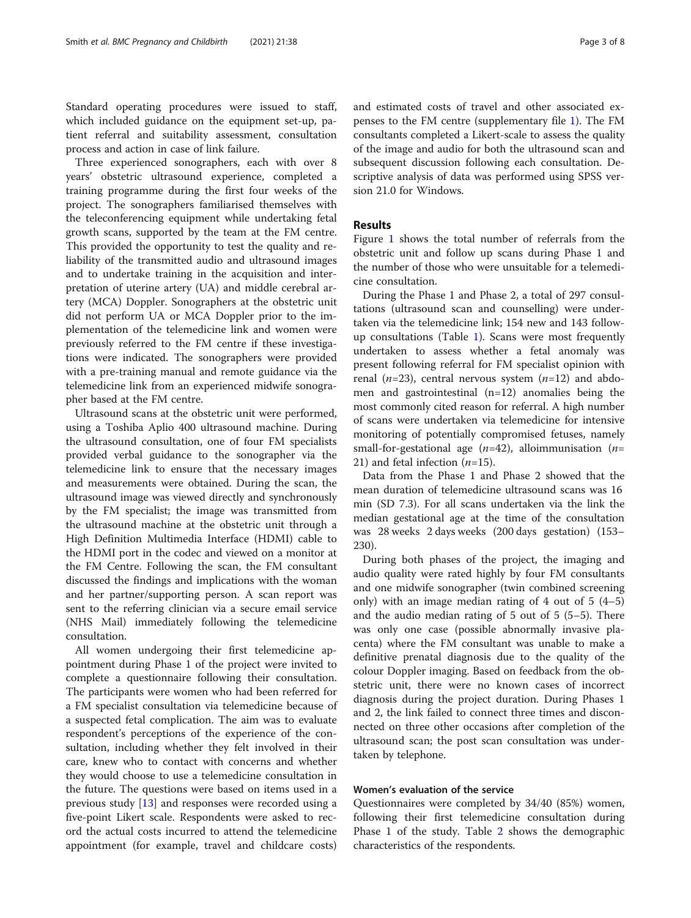Standard operating procedures were issued to staff, which included guidance on the equipment set-up, patient referral and suitability assessment, consultation process and action in case of link failure.

Three experienced sonographers, each with over 8 years' obstetric ultrasound experience, completed a training programme during the first four weeks of the project. The sonographers familiarised themselves with the teleconferencing equipment while undertaking fetal growth scans, supported by the team at the FM centre. This provided the opportunity to test the quality and reliability of the transmitted audio and ultrasound images and to undertake training in the acquisition and interpretation of uterine artery (UA) and middle cerebral artery (MCA) Doppler. Sonographers at the obstetric unit did not perform UA or MCA Doppler prior to the implementation of the telemedicine link and women were previously referred to the FM centre if these investigations were indicated. The sonographers were provided with a pre-training manual and remote guidance via the telemedicine link from an experienced midwife sonographer based at the FM centre.

Ultrasound scans at the obstetric unit were performed, using a Toshiba Aplio 400 ultrasound machine. During the ultrasound consultation, one of four FM specialists provided verbal guidance to the sonographer via the telemedicine link to ensure that the necessary images and measurements were obtained. During the scan, the ultrasound image was viewed directly and synchronously by the FM specialist; the image was transmitted from the ultrasound machine at the obstetric unit through a High Definition Multimedia Interface (HDMI) cable to the HDMI port in the codec and viewed on a monitor at the FM Centre. Following the scan, the FM consultant discussed the findings and implications with the woman and her partner/supporting person. A scan report was sent to the referring clinician via a secure email service (NHS Mail) immediately following the telemedicine consultation.

All women undergoing their first telemedicine appointment during Phase 1 of the project were invited to complete a questionnaire following their consultation. The participants were women who had been referred for a FM specialist consultation via telemedicine because of a suspected fetal complication. The aim was to evaluate respondent's perceptions of the experience of the consultation, including whether they felt involved in their care, knew who to contact with concerns and whether they would choose to use a telemedicine consultation in the future. The questions were based on items used in a previous study [[13](#page-7-0)] and responses were recorded using a five-point Likert scale. Respondents were asked to record the actual costs incurred to attend the telemedicine appointment (for example, travel and childcare costs)

and estimated costs of travel and other associated expenses to the FM centre (supplementary file [1](#page-6-0)). The FM consultants completed a Likert-scale to assess the quality of the image and audio for both the ultrasound scan and subsequent discussion following each consultation. Descriptive analysis of data was performed using SPSS version 21.0 for Windows.

#### Results

Figure [1](#page-3-0) shows the total number of referrals from the obstetric unit and follow up scans during Phase 1 and the number of those who were unsuitable for a telemedicine consultation.

During the Phase 1 and Phase 2, a total of 297 consultations (ultrasound scan and counselling) were undertaken via the telemedicine link; 154 new and 143 followup consultations (Table [1\)](#page-4-0). Scans were most frequently undertaken to assess whether a fetal anomaly was present following referral for FM specialist opinion with renal ( $n=23$ ), central nervous system ( $n=12$ ) and abdomen and gastrointestinal (n=12) anomalies being the most commonly cited reason for referral. A high number of scans were undertaken via telemedicine for intensive monitoring of potentially compromised fetuses, namely small-for-gestational age  $(n=42)$ , alloimmunisation  $(n=$ 21) and fetal infection  $(n=15)$ .

Data from the Phase 1 and Phase 2 showed that the mean duration of telemedicine ultrasound scans was 16 min (SD 7.3). For all scans undertaken via the link the median gestational age at the time of the consultation was 28 weeks 2 days weeks (200 days gestation) (153– 230).

During both phases of the project, the imaging and audio quality were rated highly by four FM consultants and one midwife sonographer (twin combined screening only) with an image median rating of 4 out of 5 (4–5) and the audio median rating of 5 out of 5 (5–5). There was only one case (possible abnormally invasive placenta) where the FM consultant was unable to make a definitive prenatal diagnosis due to the quality of the colour Doppler imaging. Based on feedback from the obstetric unit, there were no known cases of incorrect diagnosis during the project duration. During Phases 1 and 2, the link failed to connect three times and disconnected on three other occasions after completion of the ultrasound scan; the post scan consultation was undertaken by telephone.

#### Women's evaluation of the service

Questionnaires were completed by 34/40 (85%) women, following their first telemedicine consultation during Phase 1 of the study. Table [2](#page-4-0) shows the demographic characteristics of the respondents.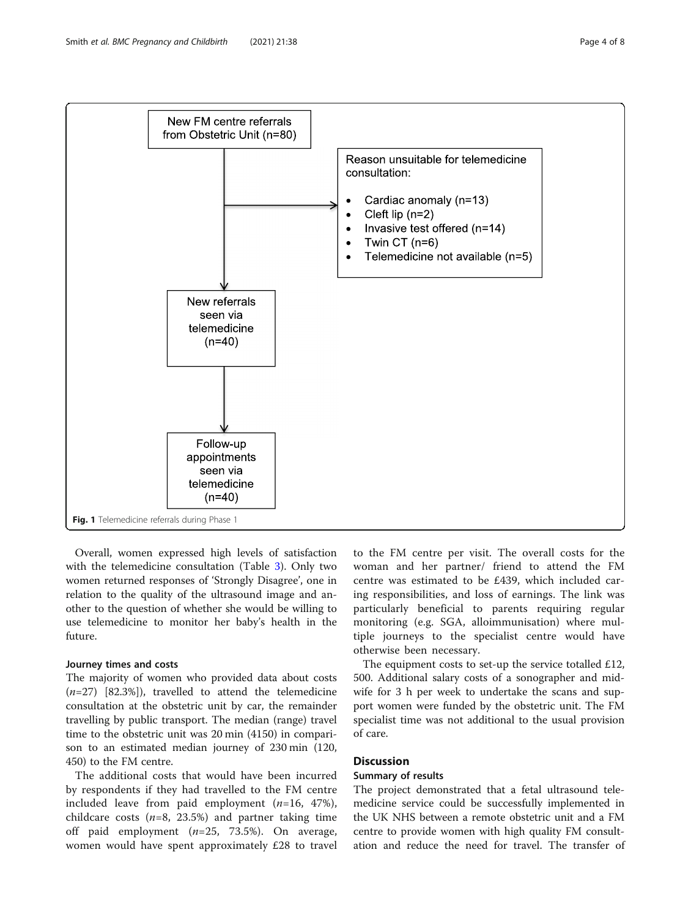<span id="page-3-0"></span>

Overall, women expressed high levels of satisfaction with the telemedicine consultation (Table [3\)](#page-5-0). Only two women returned responses of 'Strongly Disagree', one in relation to the quality of the ultrasound image and another to the question of whether she would be willing to use telemedicine to monitor her baby's health in the future.

#### Journey times and costs

The majority of women who provided data about costs  $(n=27)$  [82.3%]), travelled to attend the telemedicine consultation at the obstetric unit by car, the remainder travelling by public transport. The median (range) travel time to the obstetric unit was 20 min (4150) in comparison to an estimated median journey of 230 min (120, 450) to the FM centre.

The additional costs that would have been incurred by respondents if they had travelled to the FM centre included leave from paid employment  $(n=16, 47\%)$ , childcare costs ( $n=8$ , 23.5%) and partner taking time off paid employment  $(n=25, 73.5%)$ . On average, women would have spent approximately £28 to travel to the FM centre per visit. The overall costs for the woman and her partner/ friend to attend the FM centre was estimated to be £439, which included caring responsibilities, and loss of earnings. The link was particularly beneficial to parents requiring regular monitoring (e.g. SGA, alloimmunisation) where multiple journeys to the specialist centre would have otherwise been necessary.

The equipment costs to set-up the service totalled £12, 500. Additional salary costs of a sonographer and midwife for 3 h per week to undertake the scans and support women were funded by the obstetric unit. The FM specialist time was not additional to the usual provision of care.

#### **Discussion**

#### Summary of results

The project demonstrated that a fetal ultrasound telemedicine service could be successfully implemented in the UK NHS between a remote obstetric unit and a FM centre to provide women with high quality FM consultation and reduce the need for travel. The transfer of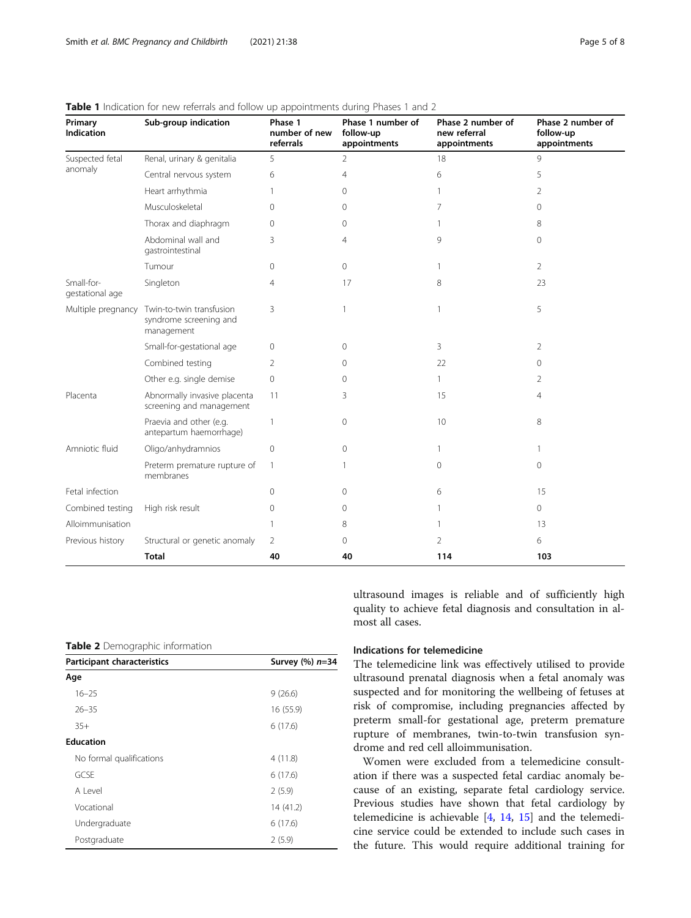| Primary<br><b>Indication</b>  | Sub-group indication                                             | Phase 1<br>number of new<br>referrals | Phase 1 number of<br>follow-up<br>appointments | Phase 2 number of<br>new referral<br>appointments | Phase 2 number of<br>follow-up<br>appointments |
|-------------------------------|------------------------------------------------------------------|---------------------------------------|------------------------------------------------|---------------------------------------------------|------------------------------------------------|
| Suspected fetal<br>anomaly    | Renal, urinary & genitalia                                       | 5                                     | 2                                              | 18                                                | 9                                              |
|                               | Central nervous system                                           | 6                                     | 4                                              | 6                                                 | 5                                              |
|                               | Heart arrhythmia                                                 | 1                                     | $\Omega$                                       | 1                                                 | 2                                              |
|                               | Musculoskeletal                                                  | $\Omega$                              | $\Omega$                                       | 7                                                 | $\overline{0}$                                 |
|                               | Thorax and diaphragm                                             | $\Omega$                              | 0                                              |                                                   | 8                                              |
|                               | Abdominal wall and<br>gastrointestinal                           | 3                                     | $\overline{4}$                                 | 9                                                 | $\overline{0}$                                 |
|                               | Tumour                                                           | $\mathbf{0}$                          | $\Omega$                                       | 1                                                 | $\overline{2}$                                 |
| Small-for-<br>gestational age | Singleton                                                        | $\overline{4}$                        | 17                                             | 8                                                 | 23                                             |
| Multiple pregnancy            | Twin-to-twin transfusion<br>syndrome screening and<br>management | 3                                     | 1                                              | $\mathbf{1}$                                      | 5                                              |
|                               | Small-for-gestational age                                        | $\mathbf{0}$                          | 0                                              | 3                                                 | 2                                              |
|                               | Combined testing                                                 | 2                                     | 0                                              | 22                                                | $\circ$                                        |
|                               | Other e.g. single demise                                         | $\overline{0}$                        | $\Omega$                                       | $\mathbf{1}$                                      | 2                                              |
| Placenta                      | Abnormally invasive placenta<br>screening and management         | 11                                    | 3                                              | 15                                                | $\overline{4}$                                 |
|                               | Praevia and other (e.g.<br>antepartum haemorrhage)               | $\overline{1}$                        | 0                                              | 10                                                | 8                                              |
| Amniotic fluid                | Oligo/anhydramnios                                               | $\mathbf{0}$                          | $\Omega$                                       | 1                                                 | 1                                              |
|                               | Preterm premature rupture of<br>membranes                        | $\mathbf{1}$                          | 1                                              | $\mathbf{0}$                                      | 0                                              |
| Fetal infection               |                                                                  | $\mathbf{0}$                          | 0                                              | 6                                                 | 15                                             |
| Combined testing              | High risk result                                                 | $\mathbf{0}$                          | 0                                              |                                                   | $\mathbf{0}$                                   |
| Alloimmunisation              |                                                                  | $\mathbf{1}$                          | 8                                              |                                                   | 13                                             |
| Previous history              | Structural or genetic anomaly                                    | 2                                     | $\Omega$                                       | 2                                                 | 6                                              |
|                               | <b>Total</b>                                                     | 40                                    | 40                                             | 114                                               | 103                                            |

#### <span id="page-4-0"></span>Table 1 Indication for new referrals and follow up appointments during Phases 1 and 2

Table 2 Demographic information

| Participant characteristics | Survey (%) n=34 |  |
|-----------------------------|-----------------|--|
| Age                         |                 |  |
| $16 - 25$                   | 9(26.6)         |  |
| $26 - 35$                   | 16 (55.9)       |  |
| $35+$                       | 6(17.6)         |  |
| <b>Education</b>            |                 |  |
| No formal qualifications    | 4(11.8)         |  |
| GCSE                        | 6(17.6)         |  |
| Alevel                      | 2(5.9)          |  |
| Vocational                  | 14 (41.2)       |  |
| Undergraduate               | 6(17.6)         |  |
| Postgraduate                | 2(5.9)          |  |

ultrasound images is reliable and of sufficiently high quality to achieve fetal diagnosis and consultation in almost all cases.

#### Indications for telemedicine

The telemedicine link was effectively utilised to provide ultrasound prenatal diagnosis when a fetal anomaly was suspected and for monitoring the wellbeing of fetuses at risk of compromise, including pregnancies affected by preterm small-for gestational age, preterm premature rupture of membranes, twin-to-twin transfusion syndrome and red cell alloimmunisation.

Women were excluded from a telemedicine consultation if there was a suspected fetal cardiac anomaly because of an existing, separate fetal cardiology service. Previous studies have shown that fetal cardiology by telemedicine is achievable [\[4,](#page-6-0) [14,](#page-7-0) [15\]](#page-7-0) and the telemedicine service could be extended to include such cases in the future. This would require additional training for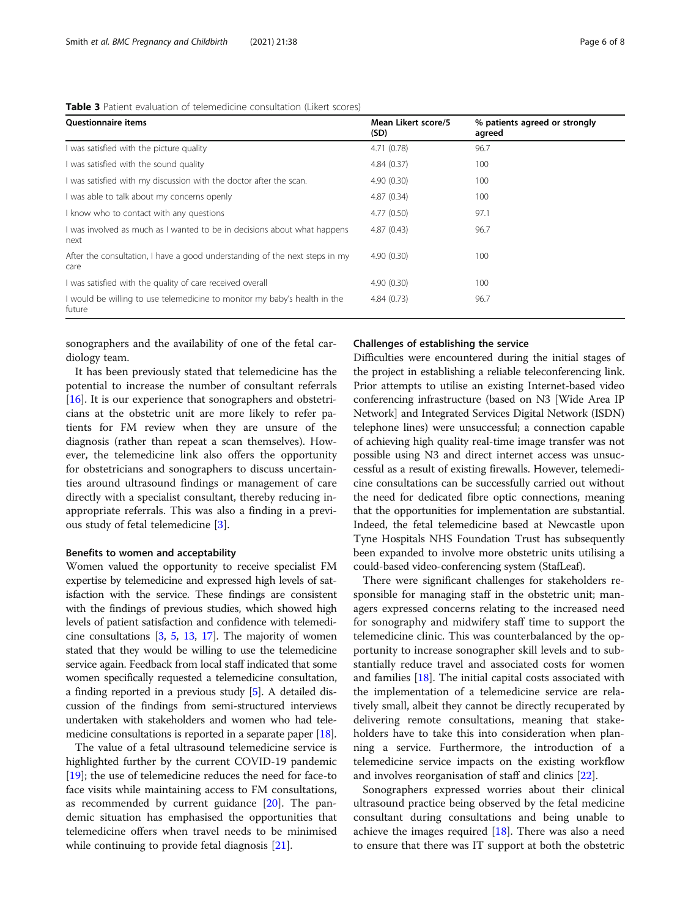<span id="page-5-0"></span>

| Table 3 Patient evaluation of telemedicine consultation (Likert scores) |  |  |
|-------------------------------------------------------------------------|--|--|
|-------------------------------------------------------------------------|--|--|

| <b>Ouestionnaire items</b>                                                          | Mean Likert score/5<br>(SD) | % patients agreed or strongly<br>agreed |
|-------------------------------------------------------------------------------------|-----------------------------|-----------------------------------------|
| I was satisfied with the picture quality                                            | 4.71 (0.78)                 | 96.7                                    |
| I was satisfied with the sound quality                                              | 4.84(0.37)                  | 100                                     |
| I was satisfied with my discussion with the doctor after the scan.                  | 4.90(0.30)                  | 100                                     |
| I was able to talk about my concerns openly                                         | 4.87(0.34)                  | 100                                     |
| I know who to contact with any questions                                            | 4.77(0.50)                  | 97.1                                    |
| I was involved as much as I wanted to be in decisions about what happens<br>next    | 4.87(0.43)                  | 96.7                                    |
| After the consultation, I have a good understanding of the next steps in my<br>care | 4.90(0.30)                  | 100                                     |
| I was satisfied with the quality of care received overall                           | 4.90(0.30)                  | 100                                     |
| I would be willing to use telemedicine to monitor my baby's health in the<br>future | 4.84(0.73)                  | 96.7                                    |

sonographers and the availability of one of the fetal cardiology team.

It has been previously stated that telemedicine has the potential to increase the number of consultant referrals [[16\]](#page-7-0). It is our experience that sonographers and obstetricians at the obstetric unit are more likely to refer patients for FM review when they are unsure of the diagnosis (rather than repeat a scan themselves). However, the telemedicine link also offers the opportunity for obstetricians and sonographers to discuss uncertainties around ultrasound findings or management of care directly with a specialist consultant, thereby reducing inappropriate referrals. This was also a finding in a previous study of fetal telemedicine [[3\]](#page-6-0).

#### Benefits to women and acceptability

Women valued the opportunity to receive specialist FM expertise by telemedicine and expressed high levels of satisfaction with the service. These findings are consistent with the findings of previous studies, which showed high levels of patient satisfaction and confidence with telemedicine consultations [[3](#page-6-0), [5](#page-6-0), [13,](#page-7-0) [17](#page-7-0)]. The majority of women stated that they would be willing to use the telemedicine service again. Feedback from local staff indicated that some women specifically requested a telemedicine consultation, a finding reported in a previous study [[5](#page-6-0)]. A detailed discussion of the findings from semi-structured interviews undertaken with stakeholders and women who had telemedicine consultations is reported in a separate paper [[18](#page-7-0)].

The value of a fetal ultrasound telemedicine service is highlighted further by the current COVID-19 pandemic [[19\]](#page-7-0); the use of telemedicine reduces the need for face-to face visits while maintaining access to FM consultations, as recommended by current guidance  $[20]$  $[20]$ . The pandemic situation has emphasised the opportunities that telemedicine offers when travel needs to be minimised while continuing to provide fetal diagnosis [\[21\]](#page-7-0).

#### Challenges of establishing the service

Difficulties were encountered during the initial stages of the project in establishing a reliable teleconferencing link. Prior attempts to utilise an existing Internet-based video conferencing infrastructure (based on N3 [Wide Area IP Network] and Integrated Services Digital Network (ISDN) telephone lines) were unsuccessful; a connection capable of achieving high quality real-time image transfer was not possible using N3 and direct internet access was unsuccessful as a result of existing firewalls. However, telemedicine consultations can be successfully carried out without the need for dedicated fibre optic connections, meaning that the opportunities for implementation are substantial. Indeed, the fetal telemedicine based at Newcastle upon Tyne Hospitals NHS Foundation Trust has subsequently been expanded to involve more obstetric units utilising a could-based video-conferencing system (StafLeaf).

There were significant challenges for stakeholders responsible for managing staff in the obstetric unit; managers expressed concerns relating to the increased need for sonography and midwifery staff time to support the telemedicine clinic. This was counterbalanced by the opportunity to increase sonographer skill levels and to substantially reduce travel and associated costs for women and families  $[18]$ . The initial capital costs associated with the implementation of a telemedicine service are relatively small, albeit they cannot be directly recuperated by delivering remote consultations, meaning that stakeholders have to take this into consideration when planning a service. Furthermore, the introduction of a telemedicine service impacts on the existing workflow and involves reorganisation of staff and clinics [\[22](#page-7-0)].

Sonographers expressed worries about their clinical ultrasound practice being observed by the fetal medicine consultant during consultations and being unable to achieve the images required [\[18\]](#page-7-0). There was also a need to ensure that there was IT support at both the obstetric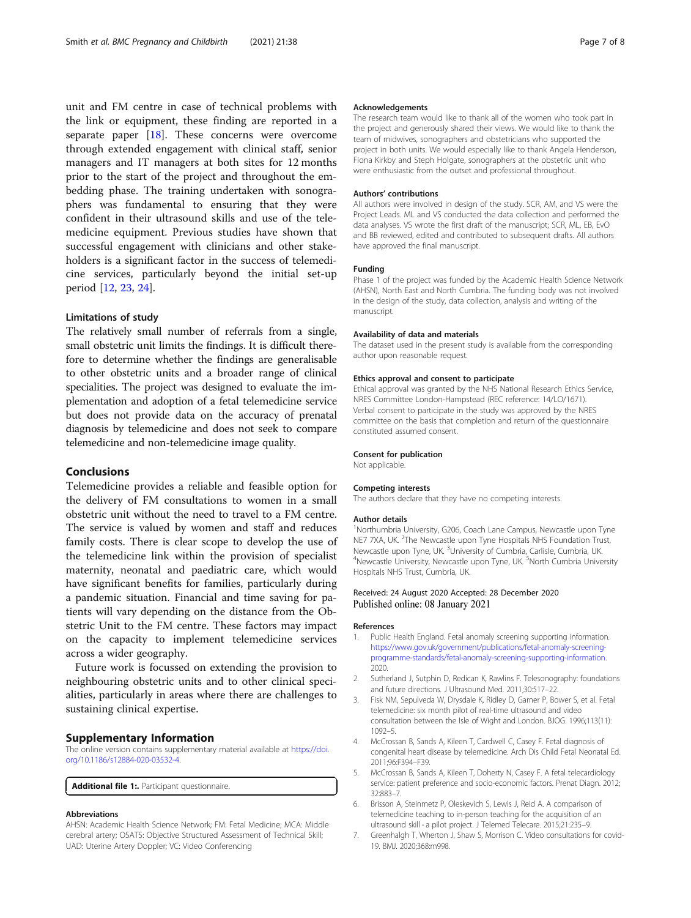<span id="page-6-0"></span>unit and FM centre in case of technical problems with the link or equipment, these finding are reported in a separate paper  $[18]$  $[18]$ . These concerns were overcome through extended engagement with clinical staff, senior managers and IT managers at both sites for 12 months prior to the start of the project and throughout the embedding phase. The training undertaken with sonographers was fundamental to ensuring that they were confident in their ultrasound skills and use of the telemedicine equipment. Previous studies have shown that successful engagement with clinicians and other stakeholders is a significant factor in the success of telemedicine services, particularly beyond the initial set-up period [[12,](#page-7-0) [23,](#page-7-0) [24\]](#page-7-0).

#### Limitations of study

The relatively small number of referrals from a single, small obstetric unit limits the findings. It is difficult therefore to determine whether the findings are generalisable to other obstetric units and a broader range of clinical specialities. The project was designed to evaluate the implementation and adoption of a fetal telemedicine service but does not provide data on the accuracy of prenatal diagnosis by telemedicine and does not seek to compare telemedicine and non-telemedicine image quality.

#### Conclusions

Telemedicine provides a reliable and feasible option for the delivery of FM consultations to women in a small obstetric unit without the need to travel to a FM centre. The service is valued by women and staff and reduces family costs. There is clear scope to develop the use of the telemedicine link within the provision of specialist maternity, neonatal and paediatric care, which would have significant benefits for families, particularly during a pandemic situation. Financial and time saving for patients will vary depending on the distance from the Obstetric Unit to the FM centre. These factors may impact on the capacity to implement telemedicine services across a wider geography.

Future work is focussed on extending the provision to neighbouring obstetric units and to other clinical specialities, particularly in areas where there are challenges to sustaining clinical expertise.

#### Supplementary Information

The online version contains supplementary material available at [https://doi.](https://doi.org/10.1186/s12884-020-03532-4) [org/10.1186/s12884-020-03532-4.](https://doi.org/10.1186/s12884-020-03532-4)

Additional file 1:. Participant questionnaire.

#### Abbreviations

AHSN: Academic Health Science Network; FM: Fetal Medicine; MCA: Middle cerebral artery; OSATS: Objective Structured Assessment of Technical Skill; UAD: Uterine Artery Doppler; VC: Video Conferencing

#### Acknowledgements

The research team would like to thank all of the women who took part in the project and generously shared their views. We would like to thank the team of midwives, sonographers and obstetricians who supported the project in both units. We would especially like to thank Angela Henderson, Fiona Kirkby and Steph Holgate, sonographers at the obstetric unit who were enthusiastic from the outset and professional throughout.

#### Authors' contributions

All authors were involved in design of the study. SCR, AM, and VS were the Project Leads. ML and VS conducted the data collection and performed the data analyses. VS wrote the first draft of the manuscript; SCR, ML, EB, EvO and BB reviewed, edited and contributed to subsequent drafts. All authors have approved the final manuscript.

#### Funding

Phase 1 of the project was funded by the Academic Health Science Network (AHSN), North East and North Cumbria. The funding body was not involved in the design of the study, data collection, analysis and writing of the manuscript.

#### Availability of data and materials

The dataset used in the present study is available from the corresponding author upon reasonable request.

#### Ethics approval and consent to participate

Ethical approval was granted by the NHS National Research Ethics Service, NRES Committee London-Hampstead (REC reference: 14/LO/1671). Verbal consent to participate in the study was approved by the NRES committee on the basis that completion and return of the questionnaire constituted assumed consent.

#### Consent for publication

Not applicable.

#### Competing interests

The authors declare that they have no competing interests.

#### Author details

<sup>1</sup>Northumbria University, G206, Coach Lane Campus, Newcastle upon Tyne NE7 7XA, UK. <sup>2</sup>The Newcastle upon Tyne Hospitals NHS Foundation Trust, Newcastle upon Tyne, UK. <sup>3</sup>University of Cumbria, Carlisle, Cumbria, UK.<br><sup>4</sup>Newcastle University, Newcastle upon Type UK. <sup>5</sup>Nerth Cumbria Unive Newcastle University, Newcastle upon Tyne, UK. <sup>5</sup>North Cumbria University Hospitals NHS Trust, Cumbria, UK.

#### Received: 24 August 2020 Accepted: 28 December 2020 Published online: 08 January 2021

#### References

- 1. Public Health England. Fetal anomaly screening supporting information. [https://www.gov.uk/government/publications/fetal-anomaly-screening](https://www.gov.uk/government/publications/fetal-anomaly-screening-programme-standards/fetal-anomaly-screening-supporting-information)[programme-standards/fetal-anomaly-screening-supporting-information.](https://www.gov.uk/government/publications/fetal-anomaly-screening-programme-standards/fetal-anomaly-screening-supporting-information) 2020.
- 2. Sutherland J, Sutphin D, Redican K, Rawlins F. Telesonography: foundations and future directions. J Ultrasound Med. 2011;30:517–22.
- 3. Fisk NM, Sepulveda W, Drysdale K, Ridley D, Garner P, Bower S, et al. Fetal telemedicine: six month pilot of real-time ultrasound and video consultation between the Isle of Wight and London. BJOG. 1996;113(11): 1092–5.
- 4. McCrossan B, Sands A, Kileen T, Cardwell C, Casey F. Fetal diagnosis of congenital heart disease by telemedicine. Arch Dis Child Fetal Neonatal Ed. 2011;96:F394–F39.
- 5. McCrossan B, Sands A, Kileen T, Doherty N, Casey F. A fetal telecardiology service: patient preference and socio-economic factors. Prenat Diagn. 2012; 32:883–7.
- 6. Brisson A, Steinmetz P, Oleskevich S, Lewis J, Reid A. A comparison of telemedicine teaching to in-person teaching for the acquisition of an ultrasound skill - a pilot project. J Telemed Telecare. 2015;21:235–9.
- 7. Greenhalgh T, Wherton J, Shaw S, Morrison C. Video consultations for covid-19. BMJ. 2020;368:m998.